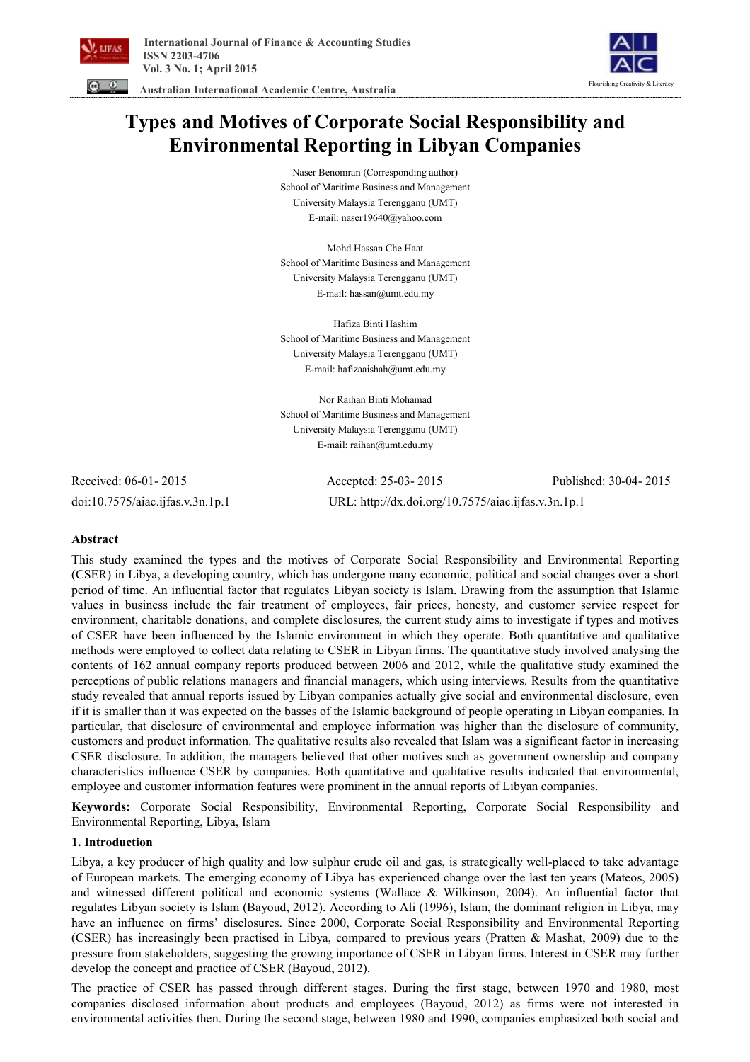



 **Australian International Academic Centre, Australia** 

# **Types and Motives of Corporate Social Responsibility and Environmental Reporting in Libyan Companies**

Naser Benomran (Corresponding author) School of Maritime Business and Management University Malaysia Terengganu (UMT) E-mail: naser19640@yahoo.com

Mohd Hassan Che Haat School of Maritime Business and Management University Malaysia Terengganu (UMT) E-mail: hassan@umt.edu.my

Hafiza Binti Hashim School of Maritime Business and Management University Malaysia Terengganu (UMT) E-mail: hafizaaishah@umt.edu.my

Nor Raihan Binti Mohamad School of Maritime Business and Management University Malaysia Terengganu (UMT) E-mail: raihan@umt.edu.my

Received: 06-01- 2015 Accepted: 25-03- 2015 Published: 30-04- 2015 doi:10.7575/aiac.ijfas.v.3n.1p.1 URL: http://dx.doi.org/10.7575/aiac.ijfas.v.3n.1p.1

# **Abstract**

This study examined the types and the motives of Corporate Social Responsibility and Environmental Reporting (CSER) in Libya, a developing country, which has undergone many economic, political and social changes over a short period of time. An influential factor that regulates Libyan society is Islam. Drawing from the assumption that Islamic values in business include the fair treatment of employees, fair prices, honesty, and customer service respect for environment, charitable donations, and complete disclosures, the current study aims to investigate if types and motives of CSER have been influenced by the Islamic environment in which they operate. Both quantitative and qualitative methods were employed to collect data relating to CSER in Libyan firms. The quantitative study involved analysing the contents of 162 annual company reports produced between 2006 and 2012, while the qualitative study examined the perceptions of public relations managers and financial managers, which using interviews. Results from the quantitative study revealed that annual reports issued by Libyan companies actually give social and environmental disclosure, even if it is smaller than it was expected on the basses of the Islamic background of people operating in Libyan companies. In particular, that disclosure of environmental and employee information was higher than the disclosure of community, customers and product information. The qualitative results also revealed that Islam was a significant factor in increasing CSER disclosure. In addition, the managers believed that other motives such as government ownership and company characteristics influence CSER by companies. Both quantitative and qualitative results indicated that environmental, employee and customer information features were prominent in the annual reports of Libyan companies.

**Keywords:** Corporate Social Responsibility, Environmental Reporting, Corporate Social Responsibility and Environmental Reporting, Libya, Islam

# **1. Introduction**

Libya, a key producer of high quality and low sulphur crude oil and gas, is strategically well-placed to take advantage of European markets. The emerging economy of Libya has experienced change over the last ten years (Mateos, 2005) and witnessed different political and economic systems (Wallace & Wilkinson, 2004). An influential factor that regulates Libyan society is Islam (Bayoud, 2012). According to Ali (1996), Islam, the dominant religion in Libya, may have an influence on firms' disclosures. Since 2000, Corporate Social Responsibility and Environmental Reporting (CSER) has increasingly been practised in Libya, compared to previous years (Pratten & Mashat, 2009) due to the pressure from stakeholders, suggesting the growing importance of CSER in Libyan firms. Interest in CSER may further develop the concept and practice of CSER (Bayoud, 2012).

The practice of CSER has passed through different stages. During the first stage, between 1970 and 1980, most companies disclosed information about products and employees (Bayoud, 2012) as firms were not interested in environmental activities then. During the second stage, between 1980 and 1990, companies emphasized both social and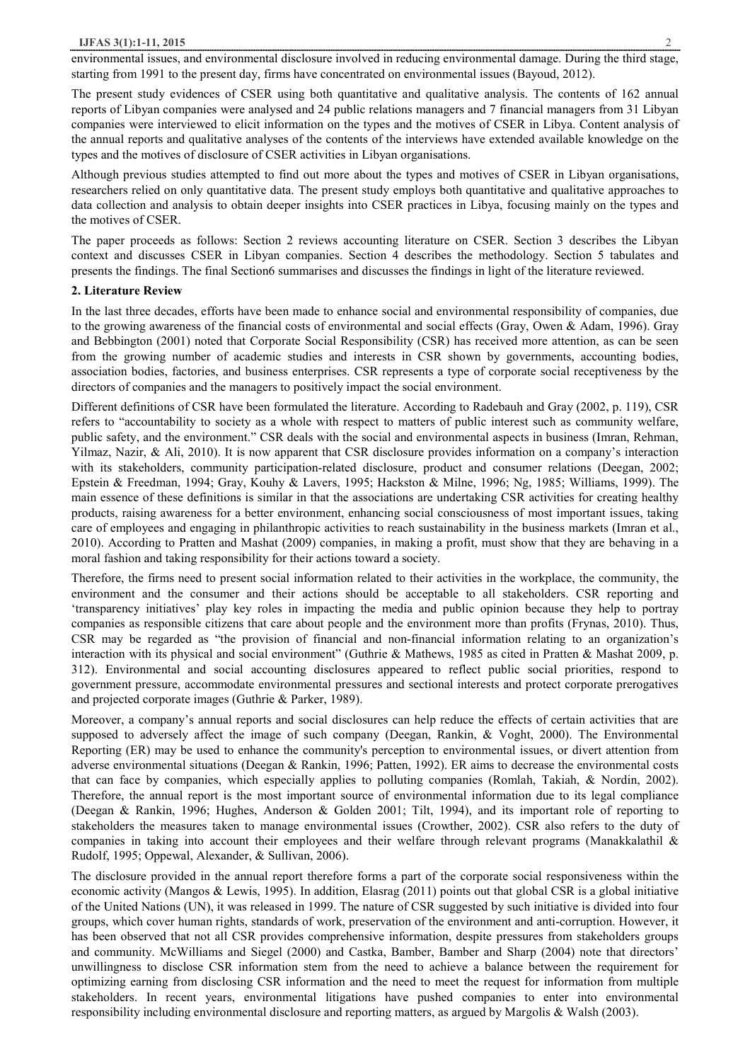environmental issues, and environmental disclosure involved in reducing environmental damage. During the third stage, starting from 1991 to the present day, firms have concentrated on environmental issues (Bayoud, 2012).

The present study evidences of CSER using both quantitative and qualitative analysis. The contents of 162 annual reports of Libyan companies were analysed and 24 public relations managers and 7 financial managers from 31 Libyan companies were interviewed to elicit information on the types and the motives of CSER in Libya. Content analysis of the annual reports and qualitative analyses of the contents of the interviews have extended available knowledge on the types and the motives of disclosure of CSER activities in Libyan organisations.

Although previous studies attempted to find out more about the types and motives of CSER in Libyan organisations, researchers relied on only quantitative data. The present study employs both quantitative and qualitative approaches to data collection and analysis to obtain deeper insights into CSER practices in Libya, focusing mainly on the types and the motives of CSER.

The paper proceeds as follows: Section 2 reviews accounting literature on CSER. Section 3 describes the Libyan context and discusses CSER in Libyan companies. Section 4 describes the methodology. Section 5 tabulates and presents the findings. The final Section6 summarises and discusses the findings in light of the literature reviewed.

## **2. Literature Review**

In the last three decades, efforts have been made to enhance social and environmental responsibility of companies, due to the growing awareness of the financial costs of environmental and social effects (Gray, Owen & Adam, 1996). Gray and Bebbington (2001) noted that Corporate Social Responsibility (CSR) has received more attention, as can be seen from the growing number of academic studies and interests in CSR shown by governments, accounting bodies, association bodies, factories, and business enterprises. CSR represents a type of corporate social receptiveness by the directors of companies and the managers to positively impact the social environment.

Different definitions of CSR have been formulated the literature. According to Radebauh and Gray (2002, p. 119), CSR refers to "accountability to society as a whole with respect to matters of public interest such as community welfare, public safety, and the environment." CSR deals with the social and environmental aspects in business (Imran, Rehman, Yilmaz, Nazir, & Ali, 2010). It is now apparent that CSR disclosure provides information on a company's interaction with its stakeholders, community participation-related disclosure, product and consumer relations (Deegan, 2002; Epstein & Freedman, 1994; Gray, Kouhy & Lavers, 1995; Hackston & Milne, 1996; Ng, 1985; Williams, 1999). The main essence of these definitions is similar in that the associations are undertaking CSR activities for creating healthy products, raising awareness for a better environment, enhancing social consciousness of most important issues, taking care of employees and engaging in philanthropic activities to reach sustainability in the business markets (Imran et al., 2010). According to Pratten and Mashat (2009) companies, in making a profit, must show that they are behaving in a moral fashion and taking responsibility for their actions toward a society.

Therefore, the firms need to present social information related to their activities in the workplace, the community, the environment and the consumer and their actions should be acceptable to all stakeholders. CSR reporting and 'transparency initiatives' play key roles in impacting the media and public opinion because they help to portray companies as responsible citizens that care about people and the environment more than profits (Frynas, 2010). Thus, CSR may be regarded as "the provision of financial and non-financial information relating to an organization's interaction with its physical and social environment" (Guthrie & Mathews, 1985 as cited in Pratten & Mashat 2009, p. 312). Environmental and social accounting disclosures appeared to reflect public social priorities, respond to government pressure, accommodate environmental pressures and sectional interests and protect corporate prerogatives and projected corporate images (Guthrie & Parker, 1989).

Moreover, a company's annual reports and social disclosures can help reduce the effects of certain activities that are supposed to adversely affect the image of such company (Deegan, Rankin, & Voght, 2000). The Environmental Reporting (ER) may be used to enhance the community's perception to environmental issues, or divert attention from adverse environmental situations (Deegan & Rankin, 1996; Patten, 1992). ER aims to decrease the environmental costs that can face by companies, which especially applies to polluting companies (Romlah, Takiah, & Nordin, 2002). Therefore, the annual report is the most important source of environmental information due to its legal compliance (Deegan & Rankin, 1996; Hughes, Anderson & Golden 2001; Tilt, 1994), and its important role of reporting to stakeholders the measures taken to manage environmental issues (Crowther, 2002). CSR also refers to the duty of companies in taking into account their employees and their welfare through relevant programs (Manakkalathil & Rudolf, 1995; Oppewal, Alexander, & Sullivan, 2006).

The disclosure provided in the annual report therefore forms a part of the corporate social responsiveness within the economic activity (Mangos & Lewis, 1995). In addition, Elasrag (2011) points out that global CSR is a global initiative of the United Nations (UN), it was released in 1999. The nature of CSR suggested by such initiative is divided into four groups, which cover human rights, standards of work, preservation of the environment and anti-corruption. However, it has been observed that not all CSR provides comprehensive information, despite pressures from stakeholders groups and community. McWilliams and Siegel (2000) and Castka, Bamber, Bamber and Sharp (2004) note that directors' unwillingness to disclose CSR information stem from the need to achieve a balance between the requirement for optimizing earning from disclosing CSR information and the need to meet the request for information from multiple stakeholders. In recent years, environmental litigations have pushed companies to enter into environmental responsibility including environmental disclosure and reporting matters, as argued by Margolis & Walsh (2003).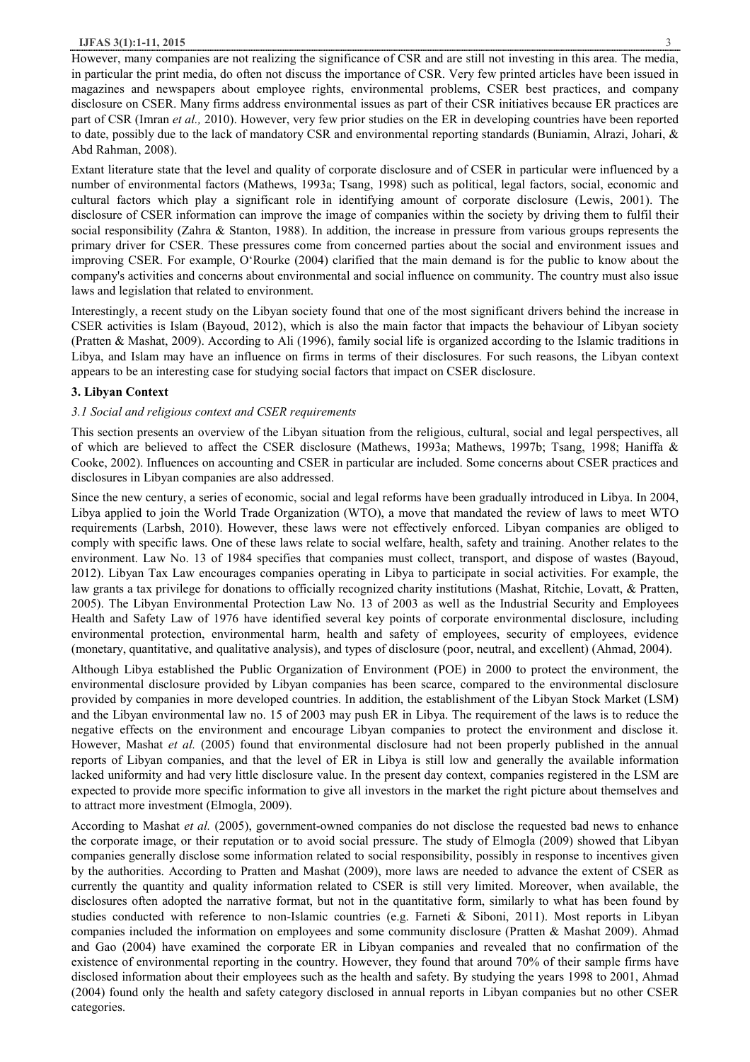#### **IJFAS 3(1):1-11, 2015** 3

However, many companies are not realizing the significance of CSR and are still not investing in this area. The media, in particular the print media, do often not discuss the importance of CSR. Very few printed articles have been issued in magazines and newspapers about employee rights, environmental problems, CSER best practices, and company disclosure on CSER. Many firms address environmental issues as part of their CSR initiatives because ER practices are part of CSR (Imran *et al.,* 2010). However, very few prior studies on the ER in developing countries have been reported to date, possibly due to the lack of mandatory CSR and environmental reporting standards (Buniamin, Alrazi, Johari, & Abd Rahman, 2008).

Extant literature state that the level and quality of corporate disclosure and of CSER in particular were influenced by a number of environmental factors (Mathews, 1993a; Tsang, 1998) such as political, legal factors, social, economic and cultural factors which play a significant role in identifying amount of corporate disclosure (Lewis, 2001). The disclosure of CSER information can improve the image of companies within the society by driving them to fulfil their social responsibility (Zahra & Stanton, 1988). In addition, the increase in pressure from various groups represents the primary driver for CSER. These pressures come from concerned parties about the social and environment issues and improving CSER. For example, O'Rourke (2004) clarified that the main demand is for the public to know about the company's activities and concerns about environmental and social influence on community. The country must also issue laws and legislation that related to environment.

Interestingly, a recent study on the Libyan society found that one of the most significant drivers behind the increase in CSER activities is Islam (Bayoud, 2012), which is also the main factor that impacts the behaviour of Libyan society (Pratten & Mashat, 2009). According to Ali (1996), family social life is organized according to the Islamic traditions in Libya, and Islam may have an influence on firms in terms of their disclosures. For such reasons, the Libyan context appears to be an interesting case for studying social factors that impact on CSER disclosure.

## **3. Libyan Context**

#### *3.1 Social and religious context and CSER requirements*

This section presents an overview of the Libyan situation from the religious, cultural, social and legal perspectives, all of which are believed to affect the CSER disclosure (Mathews, 1993a; Mathews, 1997b; Tsang, 1998; Haniffa & Cooke, 2002). Influences on accounting and CSER in particular are included. Some concerns about CSER practices and disclosures in Libyan companies are also addressed.

Since the new century, a series of economic, social and legal reforms have been gradually introduced in Libya. In 2004, Libya applied to join the World Trade Organization (WTO), a move that mandated the review of laws to meet WTO requirements (Larbsh, 2010). However, these laws were not effectively enforced. Libyan companies are obliged to comply with specific laws. One of these laws relate to social welfare, health, safety and training. Another relates to the environment. Law No. 13 of 1984 specifies that companies must collect, transport, and dispose of wastes (Bayoud, 2012). Libyan Tax Law encourages companies operating in Libya to participate in social activities. For example, the law grants a tax privilege for donations to officially recognized charity institutions (Mashat, Ritchie, Lovatt, & Pratten, 2005). The Libyan Environmental Protection Law No. 13 of 2003 as well as the Industrial Security and Employees Health and Safety Law of 1976 have identified several key points of corporate environmental disclosure, including environmental protection, environmental harm, health and safety of employees, security of employees, evidence (monetary, quantitative, and qualitative analysis), and types of disclosure (poor, neutral, and excellent) (Ahmad, 2004).

Although Libya established the Public Organization of Environment (POE) in 2000 to protect the environment, the environmental disclosure provided by Libyan companies has been scarce, compared to the environmental disclosure provided by companies in more developed countries. In addition, the establishment of the Libyan Stock Market (LSM) and the Libyan environmental law no. 15 of 2003 may push ER in Libya. The requirement of the laws is to reduce the negative effects on the environment and encourage Libyan companies to protect the environment and disclose it. However, Mashat *et al.* (2005) found that environmental disclosure had not been properly published in the annual reports of Libyan companies, and that the level of ER in Libya is still low and generally the available information lacked uniformity and had very little disclosure value. In the present day context, companies registered in the LSM are expected to provide more specific information to give all investors in the market the right picture about themselves and to attract more investment (Elmogla, 2009).

According to Mashat *et al.* (2005), government-owned companies do not disclose the requested bad news to enhance the corporate image, or their reputation or to avoid social pressure. The study of Elmogla (2009) showed that Libyan companies generally disclose some information related to social responsibility, possibly in response to incentives given by the authorities. According to Pratten and Mashat (2009), more laws are needed to advance the extent of CSER as currently the quantity and quality information related to CSER is still very limited. Moreover, when available, the disclosures often adopted the narrative format, but not in the quantitative form, similarly to what has been found by studies conducted with reference to non-Islamic countries (e.g. Farneti & Siboni, 2011). Most reports in Libyan companies included the information on employees and some community disclosure (Pratten & Mashat 2009). Ahmad and Gao (2004) have examined the corporate ER in Libyan companies and revealed that no confirmation of the existence of environmental reporting in the country. However, they found that around 70% of their sample firms have disclosed information about their employees such as the health and safety. By studying the years 1998 to 2001, Ahmad (2004) found only the health and safety category disclosed in annual reports in Libyan companies but no other CSER categories.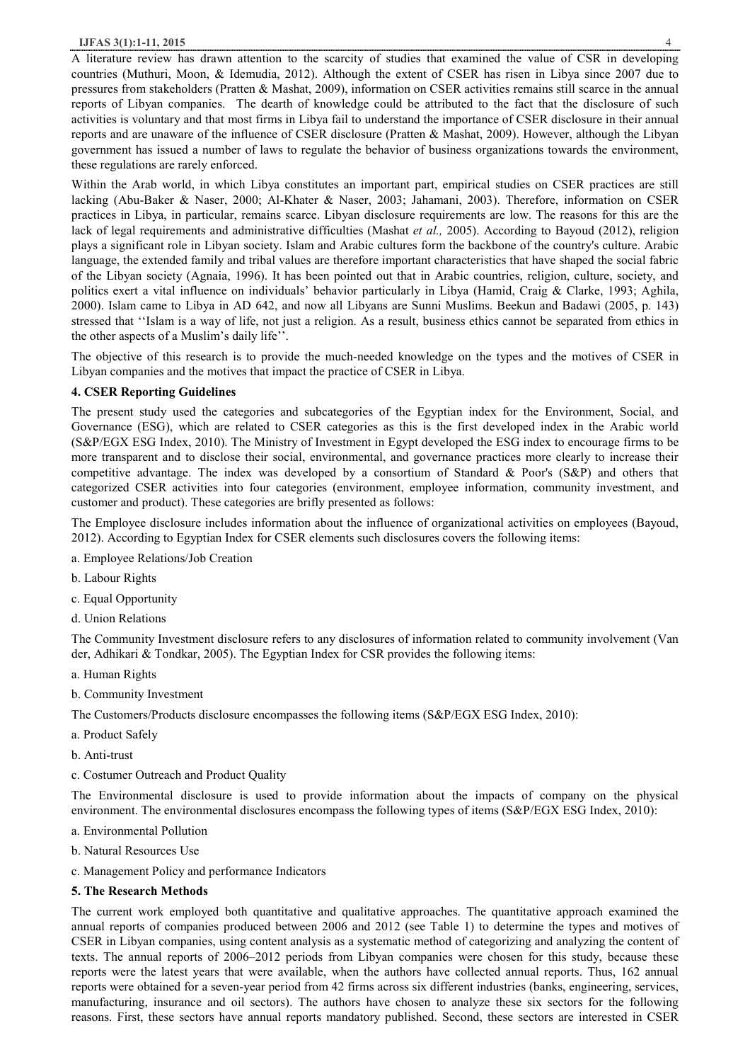A literature review has drawn attention to the scarcity of studies that examined the value of CSR in developing countries (Muthuri, Moon, & Idemudia, 2012). Although the extent of CSER has risen in Libya since 2007 due to pressures from stakeholders (Pratten & Mashat, 2009), information on CSER activities remains still scarce in the annual reports of Libyan companies. The dearth of knowledge could be attributed to the fact that the disclosure of such activities is voluntary and that most firms in Libya fail to understand the importance of CSER disclosure in their annual reports and are unaware of the influence of CSER disclosure (Pratten & Mashat, 2009). However, although the Libyan government has issued a number of laws to regulate the behavior of business organizations towards the environment, these regulations are rarely enforced.

Within the Arab world, in which Libya constitutes an important part, empirical studies on CSER practices are still lacking (Abu-Baker & Naser, 2000; Al-Khater & Naser, 2003; Jahamani, 2003). Therefore, information on CSER practices in Libya, in particular, remains scarce. Libyan disclosure requirements are low. The reasons for this are the lack of legal requirements and administrative difficulties (Mashat *et al.,* 2005). According to Bayoud (2012), religion plays a significant role in Libyan society. Islam and Arabic cultures form the backbone of the country's culture. Arabic language, the extended family and tribal values are therefore important characteristics that have shaped the social fabric of the Libyan society (Agnaia, 1996). It has been pointed out that in Arabic countries, religion, culture, society, and politics exert a vital influence on individuals' behavior particularly in Libya (Hamid, Craig & Clarke, 1993; Aghila, 2000). Islam came to Libya in AD 642, and now all Libyans are Sunni Muslims. Beekun and Badawi (2005, p. 143) stressed that ''Islam is a way of life, not just a religion. As a result, business ethics cannot be separated from ethics in the other aspects of a Muslim's daily life''.

The objective of this research is to provide the much-needed knowledge on the types and the motives of CSER in Libyan companies and the motives that impact the practice of CSER in Libya.

# **4. CSER Reporting Guidelines**

The present study used the categories and subcategories of the Egyptian index for the Environment, Social, and Governance (ESG), which are related to CSER categories as this is the first developed index in the Arabic world (S&P/EGX ESG Index, 2010). The Ministry of Investment in Egypt developed the ESG index to encourage firms to be more transparent and to disclose their social, environmental, and governance practices more clearly to increase their competitive advantage. The index was developed by a consortium of Standard & Poor's (S&P) and others that categorized CSER activities into four categories (environment, employee information, community investment, and customer and product). These categories are brifly presented as follows:

The Employee disclosure includes information about the influence of organizational activities on employees (Bayoud, 2012). According to Egyptian Index for CSER elements such disclosures covers the following items:

- a. Employee Relations/Job Creation
- b. Labour Rights
- c. Equal Opportunity
- d. Union Relations

The Community Investment disclosure refers to any disclosures of information related to community involvement (Van der, Adhikari & Tondkar, 2005). The Egyptian Index for CSR provides the following items:

- a. Human Rights
- b. Community Investment

The Customers/Products disclosure encompasses the following items (S&P/EGX ESG Index, 2010):

- a. Product Safely
- b. Anti-trust
- c. Costumer Outreach and Product Quality

The Environmental disclosure is used to provide information about the impacts of company on the physical environment. The environmental disclosures encompass the following types of items (S&P/EGX ESG Index, 2010):

- a. Environmental Pollution
- b. Natural Resources Use
- c. Management Policy and performance Indicators

# **5. The Research Methods**

The current work employed both quantitative and qualitative approaches. The quantitative approach examined the annual reports of companies produced between 2006 and 2012 (see Table 1) to determine the types and motives of CSER in Libyan companies, using content analysis as a systematic method of categorizing and analyzing the content of texts. The annual reports of 2006–2012 periods from Libyan companies were chosen for this study, because these reports were the latest years that were available, when the authors have collected annual reports. Thus, 162 annual reports were obtained for a seven-year period from 42 firms across six different industries (banks, engineering, services, manufacturing, insurance and oil sectors). The authors have chosen to analyze these six sectors for the following reasons. First, these sectors have annual reports mandatory published. Second, these sectors are interested in CSER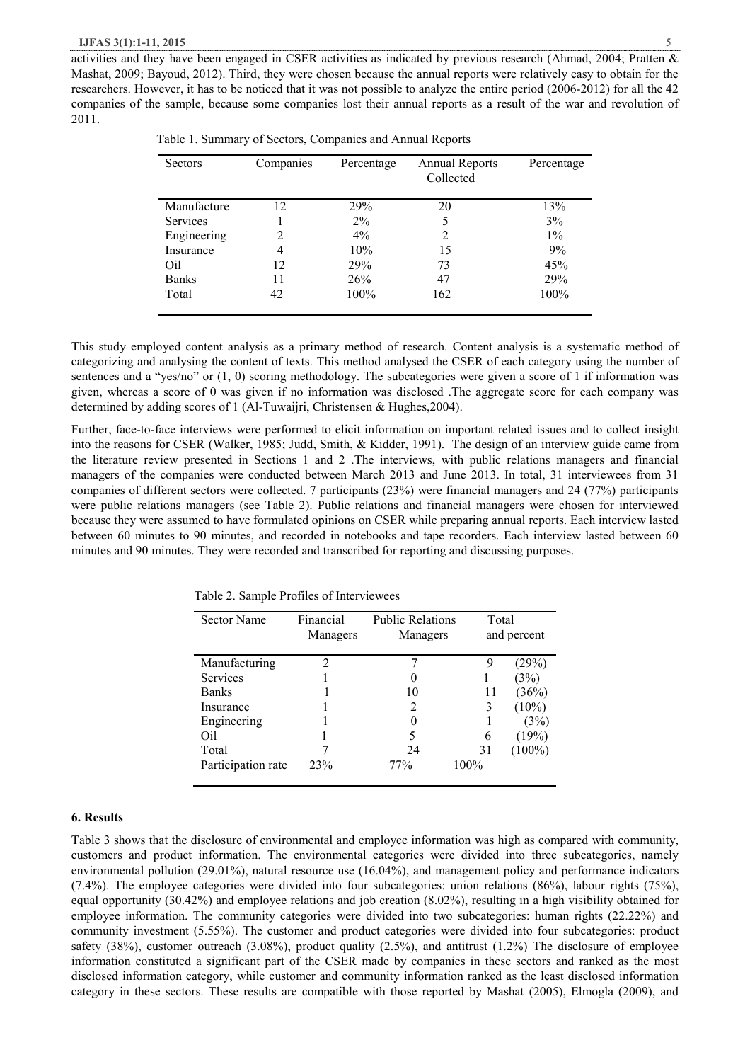activities and they have been engaged in CSER activities as indicated by previous research (Ahmad, 2004; Pratten & Mashat, 2009; Bayoud, 2012). Third, they were chosen because the annual reports were relatively easy to obtain for the researchers. However, it has to be noticed that it was not possible to analyze the entire period (2006-2012) for all the 42 companies of the sample, because some companies lost their annual reports as a result of the war and revolution of 2011.

| Sectors         | Companies | Percentage | <b>Annual Reports</b><br>Collected | Percentage |
|-----------------|-----------|------------|------------------------------------|------------|
| Manufacture     | 12        | 29%        | 20                                 | 13%        |
| <b>Services</b> |           | $2\%$      |                                    | 3%         |
| Engineering     | 2         | $4\%$      | 2                                  | $1\%$      |
| Insurance       | 4         | 10%        | 15                                 | 9%         |
| Oil             | 12        | 29%        | 73                                 | 45%        |
| <b>Banks</b>    | 11        | 26%        | 47                                 | 29%        |
| Total           | 42        | 100%       | 162                                | 100%       |

|  |  | Table 1. Summary of Sectors, Companies and Annual Reports |  |  |  |  |
|--|--|-----------------------------------------------------------|--|--|--|--|
|--|--|-----------------------------------------------------------|--|--|--|--|

This study employed content analysis as a primary method of research. Content analysis is a systematic method of categorizing and analysing the content of texts. This method analysed the CSER of each category using the number of sentences and a "yes/no" or (1, 0) scoring methodology. The subcategories were given a score of 1 if information was given, whereas a score of 0 was given if no information was disclosed .The aggregate score for each company was determined by adding scores of 1 (Al-Tuwaijri, Christensen & Hughes,2004).

Further, face-to-face interviews were performed to elicit information on important related issues and to collect insight into the reasons for CSER (Walker, 1985; Judd, Smith, & Kidder, 1991). The design of an interview guide came from the literature review presented in Sections 1 and 2 .The interviews, with public relations managers and financial managers of the companies were conducted between March 2013 and June 2013. In total, 31 interviewees from 31 companies of different sectors were collected. 7 participants (23%) were financial managers and 24 (77%) participants were public relations managers (see Table 2). Public relations and financial managers were chosen for interviewed because they were assumed to have formulated opinions on CSER while preparing annual reports. Each interview lasted between 60 minutes to 90 minutes, and recorded in notebooks and tape recorders. Each interview lasted between 60 minutes and 90 minutes. They were recorded and transcribed for reporting and discussing purposes.

| <b>Sector Name</b> | Financial<br>Managers       | <b>Public Relations</b><br>Managers | Total | and percent |
|--------------------|-----------------------------|-------------------------------------|-------|-------------|
| Manufacturing      | $\mathcal{D}_{\mathcal{L}}$ |                                     |       | (29%)       |
| Services           |                             | 0                                   |       | (3%)        |
| <b>Banks</b>       |                             | 10                                  | 11    | (36%)       |
| Insurance          |                             | 2                                   |       | $(10\%)$    |
| Engineering        |                             |                                     |       | (3%)        |
| Oil                |                             |                                     | 6     | (19%)       |
| Total              |                             | 24                                  | 31    | $(100\%)$   |
| Participation rate | 23%                         | 77%                                 | 100%  |             |

Table 2. Sample Profiles of Interviewees

#### **6. Results**

Table 3 shows that the disclosure of environmental and employee information was high as compared with community, customers and product information. The environmental categories were divided into three subcategories, namely environmental pollution (29.01%), natural resource use (16.04%), and management policy and performance indicators (7.4%). The employee categories were divided into four subcategories: union relations (86%), labour rights (75%), equal opportunity (30.42%) and employee relations and job creation (8.02%), resulting in a high visibility obtained for employee information. The community categories were divided into two subcategories: human rights (22.22%) and community investment (5.55%). The customer and product categories were divided into four subcategories: product safety (38%), customer outreach (3.08%), product quality (2.5%), and antitrust (1.2%) The disclosure of employee information constituted a significant part of the CSER made by companies in these sectors and ranked as the most disclosed information category, while customer and community information ranked as the least disclosed information category in these sectors. These results are compatible with those reported by Mashat (2005), Elmogla (2009), and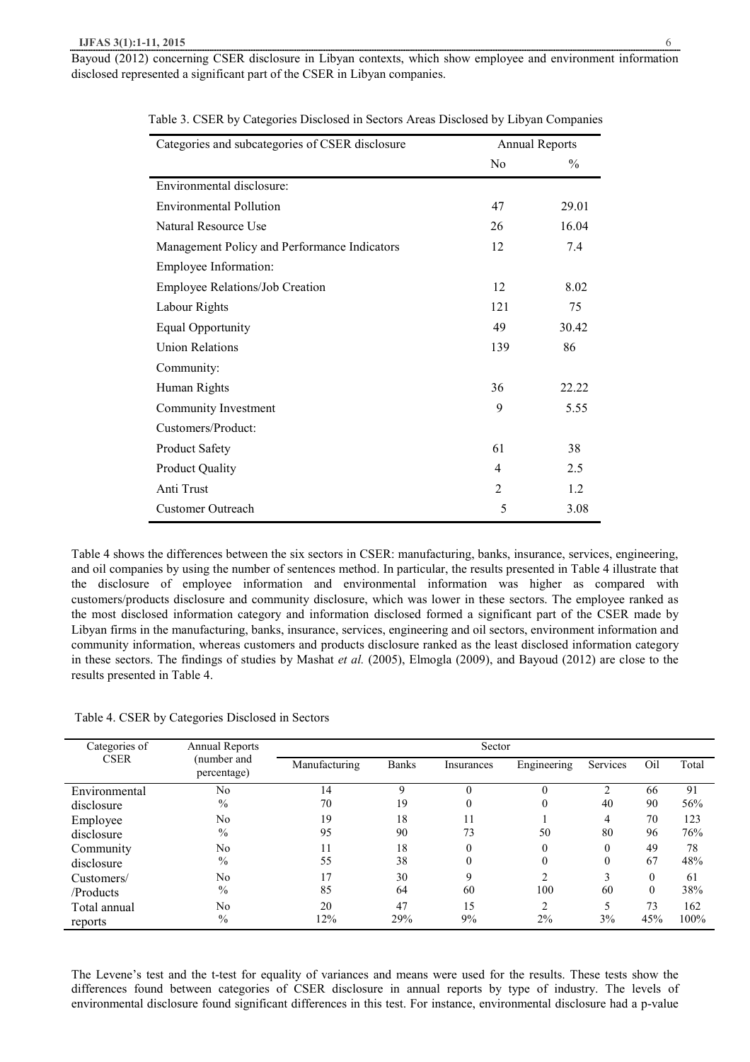| Categories and subcategories of CSER disclosure |                | <b>Annual Reports</b> |
|-------------------------------------------------|----------------|-----------------------|
|                                                 | N <sub>0</sub> | $\frac{0}{0}$         |
| Environmental disclosure:                       |                |                       |
| <b>Environmental Pollution</b>                  | 47             | 29.01                 |
| Natural Resource Use                            | 26             | 16.04                 |
| Management Policy and Performance Indicators    | 12             | 7.4                   |
| Employee Information:                           |                |                       |
| <b>Employee Relations/Job Creation</b>          | 12             | 8.02                  |
| Labour Rights                                   | 121            | 75                    |
| <b>Equal Opportunity</b>                        | 49             | 30.42                 |
| <b>Union Relations</b>                          | 139            | 86                    |
| Community:                                      |                |                       |
| Human Rights                                    | 36             | 22.22                 |
| Community Investment                            | 9              | 5.55                  |
| Customers/Product:                              |                |                       |
| <b>Product Safety</b>                           | 61             | 38                    |
| <b>Product Quality</b>                          | 4              | 2.5                   |
| Anti Trust                                      | $\overline{2}$ | 1.2                   |
| <b>Customer Outreach</b>                        | 5              | 3.08                  |

Table 3. CSER by Categories Disclosed in Sectors Areas Disclosed by Libyan Companies

Table 4 shows the differences between the six sectors in CSER: manufacturing, banks, insurance, services, engineering, and oil companies by using the number of sentences method. In particular, the results presented in Table 4 illustrate that the disclosure of employee information and environmental information was higher as compared with customers/products disclosure and community disclosure, which was lower in these sectors. The employee ranked as the most disclosed information category and information disclosed formed a significant part of the CSER made by Libyan firms in the manufacturing, banks, insurance, services, engineering and oil sectors, environment information and community information, whereas customers and products disclosure ranked as the least disclosed information category in these sectors. The findings of studies by Mashat *et al.* (2005), Elmogla (2009), and Bayoud (2012) are close to the results presented in Table 4.

|  |  | Table 4. CSER by Categories Disclosed in Sectors |  |
|--|--|--------------------------------------------------|--|
|  |  |                                                  |  |

| Categories of | <b>Annual Reports</b>      | Sector        |              |            |                |                |          |       |
|---------------|----------------------------|---------------|--------------|------------|----------------|----------------|----------|-------|
| <b>CSER</b>   | (number and<br>percentage) | Manufacturing | <b>Banks</b> | Insurances | Engineering    | Services       | Oil      | Total |
| Environmental | No                         | 14            | $\mathbf Q$  | $\Omega$   | $\theta$       | $\overline{c}$ | 66       | 91    |
| disclosure    | $\%$                       | 70            | 19           | $\theta$   | $\theta$       | 40             | 90       | 56%   |
| Employee      | No                         | 19            | 18           | 11         |                | 4              | 70       | 123   |
| disclosure    | $\%$                       | 95            | 90           | 73         | 50             | 80             | 96       | 76%   |
| Community     | No                         | 11            | 18           | $\theta$   | $\theta$       | $\theta$       | 49       | 78    |
| disclosure    | $\%$                       | 55            | 38           | $\theta$   | $\Omega$       | $\theta$       | 67       | 48%   |
| Customers/    | N <sub>0</sub>             | 17            | 30           | 9          | ↑              | 3              | $\Omega$ | 61    |
| /Products     | $\%$                       | 85            | 64           | 60         | 100            | 60             | $\theta$ | 38%   |
| Total annual  | No                         | 20            | 47           | 15         | $\overline{2}$ | 5              | 73       | 162   |
| reports       | $\frac{0}{0}$              | 12%           | 29%          | 9%         | 2%             | 3%             | 45%      | 100%  |

The Levene's test and the t-test for equality of variances and means were used for the results. These tests show the differences found between categories of CSER disclosure in annual reports by type of industry. The levels of environmental disclosure found significant differences in this test. For instance, environmental disclosure had a p-value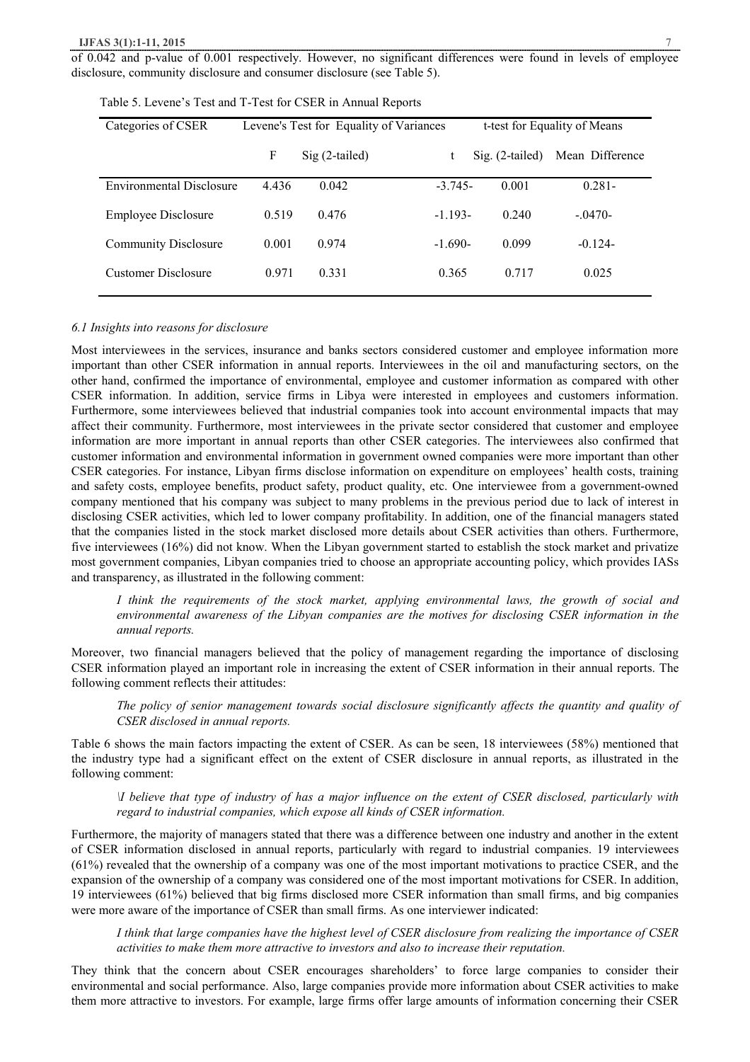#### **IJFAS 3(1):1-11, 2015**

of 0.042 and p-value of 0.001 respectively. However, no significant differences were found in levels of employee disclosure, community disclosure and consumer disclosure (see Table 5).

| Categories of CSER          | Levene's Test for Equality of Variances |                 |           | t-test for Equality of Means |                 |  |
|-----------------------------|-----------------------------------------|-----------------|-----------|------------------------------|-----------------|--|
|                             | F                                       | $Sig(2-tailed)$ | t         | $\mathrm{Sig.}$ (2-tailed)   | Mean Difference |  |
| Environmental Disclosure    | 4.436                                   | 0.042           | $-3.745-$ | 0.001                        | $0.281 -$       |  |
| <b>Employee Disclosure</b>  | 0.519                                   | 0.476           | $-1.193-$ | 0.240                        | $-.0470-$       |  |
| <b>Community Disclosure</b> | 0.001                                   | 0.974           | $-1.690-$ | 0.099                        | $-0.124-$       |  |
| Customer Disclosure         | 0.971                                   | 0.331           | 0.365     | 0.717                        | 0.025           |  |

Table 5. Levene's Test and T-Test for CSER in Annual Reports

## *6.1 Insights into reasons for disclosure*

Most interviewees in the services, insurance and banks sectors considered customer and employee information more important than other CSER information in annual reports. Interviewees in the oil and manufacturing sectors, on the other hand, confirmed the importance of environmental, employee and customer information as compared with other CSER information. In addition, service firms in Libya were interested in employees and customers information. Furthermore, some interviewees believed that industrial companies took into account environmental impacts that may affect their community. Furthermore, most interviewees in the private sector considered that customer and employee information are more important in annual reports than other CSER categories. The interviewees also confirmed that customer information and environmental information in government owned companies were more important than other CSER categories. For instance, Libyan firms disclose information on expenditure on employees' health costs, training and safety costs, employee benefits, product safety, product quality, etc. One interviewee from a government-owned company mentioned that his company was subject to many problems in the previous period due to lack of interest in disclosing CSER activities, which led to lower company profitability. In addition, one of the financial managers stated that the companies listed in the stock market disclosed more details about CSER activities than others. Furthermore, five interviewees (16%) did not know. When the Libyan government started to establish the stock market and privatize most government companies, Libyan companies tried to choose an appropriate accounting policy, which provides IASs and transparency, as illustrated in the following comment:

*I think the requirements of the stock market, applying environmental laws, the growth of social and environmental awareness of the Libyan companies are the motives for disclosing CSER information in the annual reports.* 

Moreover, two financial managers believed that the policy of management regarding the importance of disclosing CSER information played an important role in increasing the extent of CSER information in their annual reports. The following comment reflects their attitudes:

*The policy of senior management towards social disclosure significantly affects the quantity and quality of CSER disclosed in annual reports.* 

Table 6 shows the main factors impacting the extent of CSER. As can be seen, 18 interviewees (58%) mentioned that the industry type had a significant effect on the extent of CSER disclosure in annual reports, as illustrated in the following comment:

If believe that type of industry of has a major influence on the extent of CSER disclosed, particularly with *regard to industrial companies, which expose all kinds of CSER information.* 

Furthermore, the majority of managers stated that there was a difference between one industry and another in the extent of CSER information disclosed in annual reports, particularly with regard to industrial companies. 19 interviewees (61%) revealed that the ownership of a company was one of the most important motivations to practice CSER, and the expansion of the ownership of a company was considered one of the most important motivations for CSER. In addition, 19 interviewees (61%) believed that big firms disclosed more CSER information than small firms, and big companies were more aware of the importance of CSER than small firms. As one interviewer indicated:

I think that large companies have the highest level of CSER disclosure from realizing the importance of CSER *activities to make them more attractive to investors and also to increase their reputation.* 

They think that the concern about CSER encourages shareholders' to force large companies to consider their environmental and social performance. Also, large companies provide more information about CSER activities to make them more attractive to investors. For example, large firms offer large amounts of information concerning their CSER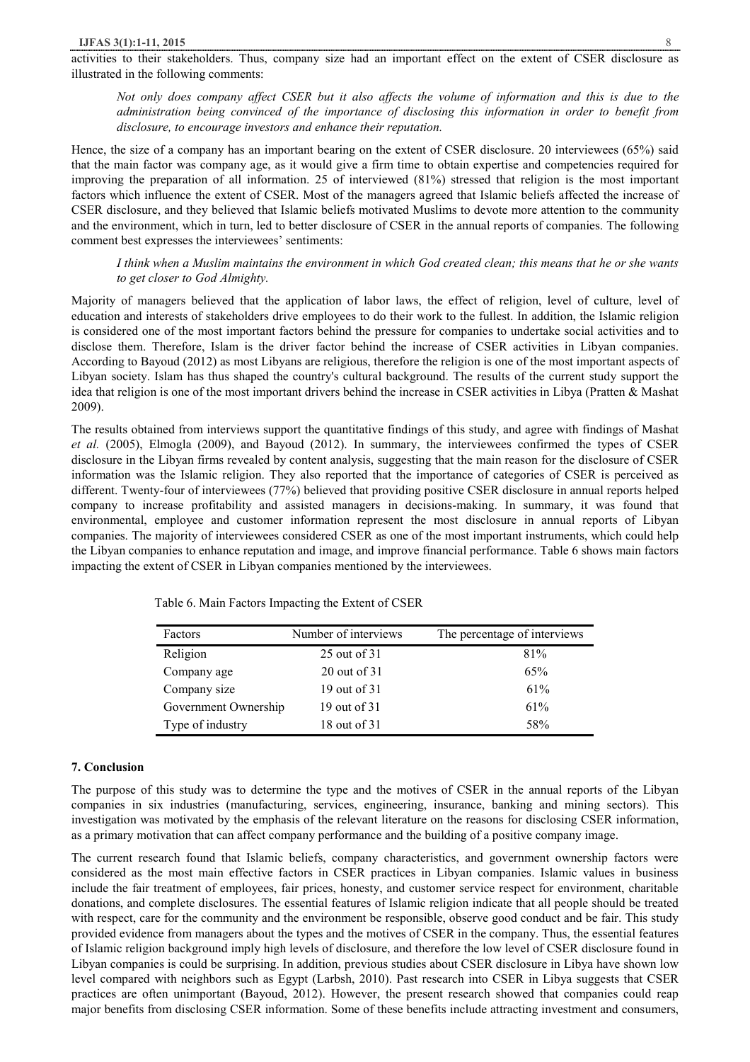activities to their stakeholders. Thus, company size had an important effect on the extent of CSER disclosure as illustrated in the following comments:

Not only does company affect CSER but it also affects the volume of information and this is due to the *administration being convinced of the importance of disclosing this information in order to benefit from disclosure, to encourage investors and enhance their reputation.* 

Hence, the size of a company has an important bearing on the extent of CSER disclosure. 20 interviewees (65%) said that the main factor was company age, as it would give a firm time to obtain expertise and competencies required for improving the preparation of all information. 25 of interviewed (81%) stressed that religion is the most important factors which influence the extent of CSER. Most of the managers agreed that Islamic beliefs affected the increase of CSER disclosure, and they believed that Islamic beliefs motivated Muslims to devote more attention to the community and the environment, which in turn, led to better disclosure of CSER in the annual reports of companies. The following comment best expresses the interviewees' sentiments:

## I think when a Muslim maintains the environment in which God created clean; this means that he or she wants *to get closer to God Almighty.*

Majority of managers believed that the application of labor laws, the effect of religion, level of culture, level of education and interests of stakeholders drive employees to do their work to the fullest. In addition, the Islamic religion is considered one of the most important factors behind the pressure for companies to undertake social activities and to disclose them. Therefore, Islam is the driver factor behind the increase of CSER activities in Libyan companies. According to Bayoud (2012) as most Libyans are religious, therefore the religion is one of the most important aspects of Libyan society. Islam has thus shaped the country's cultural background. The results of the current study support the idea that religion is one of the most important drivers behind the increase in CSER activities in Libya (Pratten & Mashat 2009).

The results obtained from interviews support the quantitative findings of this study, and agree with findings of Mashat *et al.* (2005), Elmogla (2009), and Bayoud (2012). In summary, the interviewees confirmed the types of CSER disclosure in the Libyan firms revealed by content analysis, suggesting that the main reason for the disclosure of CSER information was the Islamic religion. They also reported that the importance of categories of CSER is perceived as different. Twenty-four of interviewees (77%) believed that providing positive CSER disclosure in annual reports helped company to increase profitability and assisted managers in decisions-making. In summary, it was found that environmental, employee and customer information represent the most disclosure in annual reports of Libyan companies. The majority of interviewees considered CSER as one of the most important instruments, which could help the Libyan companies to enhance reputation and image, and improve financial performance. Table 6 shows main factors impacting the extent of CSER in Libyan companies mentioned by the interviewees.

| Factors              | Number of interviews | The percentage of interviews |
|----------------------|----------------------|------------------------------|
| Religion             | 25 out of 31         | 81%                          |
| Company age          | 20 out of 31         | 65%                          |
| Company size         | 19 out of 31         | 61%                          |
| Government Ownership | 19 out of 31         | 61%                          |
| Type of industry     | 18 out of 31         | 58%                          |

Table 6. Main Factors Impacting the Extent of CSER

#### **7. Conclusion**

The purpose of this study was to determine the type and the motives of CSER in the annual reports of the Libyan companies in six industries (manufacturing, services, engineering, insurance, banking and mining sectors). This investigation was motivated by the emphasis of the relevant literature on the reasons for disclosing CSER information, as a primary motivation that can affect company performance and the building of a positive company image.

The current research found that Islamic beliefs, company characteristics, and government ownership factors were considered as the most main effective factors in CSER practices in Libyan companies. Islamic values in business include the fair treatment of employees, fair prices, honesty, and customer service respect for environment, charitable donations, and complete disclosures. The essential features of Islamic religion indicate that all people should be treated with respect, care for the community and the environment be responsible, observe good conduct and be fair. This study provided evidence from managers about the types and the motives of CSER in the company. Thus, the essential features of Islamic religion background imply high levels of disclosure, and therefore the low level of CSER disclosure found in Libyan companies is could be surprising. In addition, previous studies about CSER disclosure in Libya have shown low level compared with neighbors such as Egypt (Larbsh, 2010). Past research into CSER in Libya suggests that CSER practices are often unimportant (Bayoud, 2012). However, the present research showed that companies could reap major benefits from disclosing CSER information. Some of these benefits include attracting investment and consumers,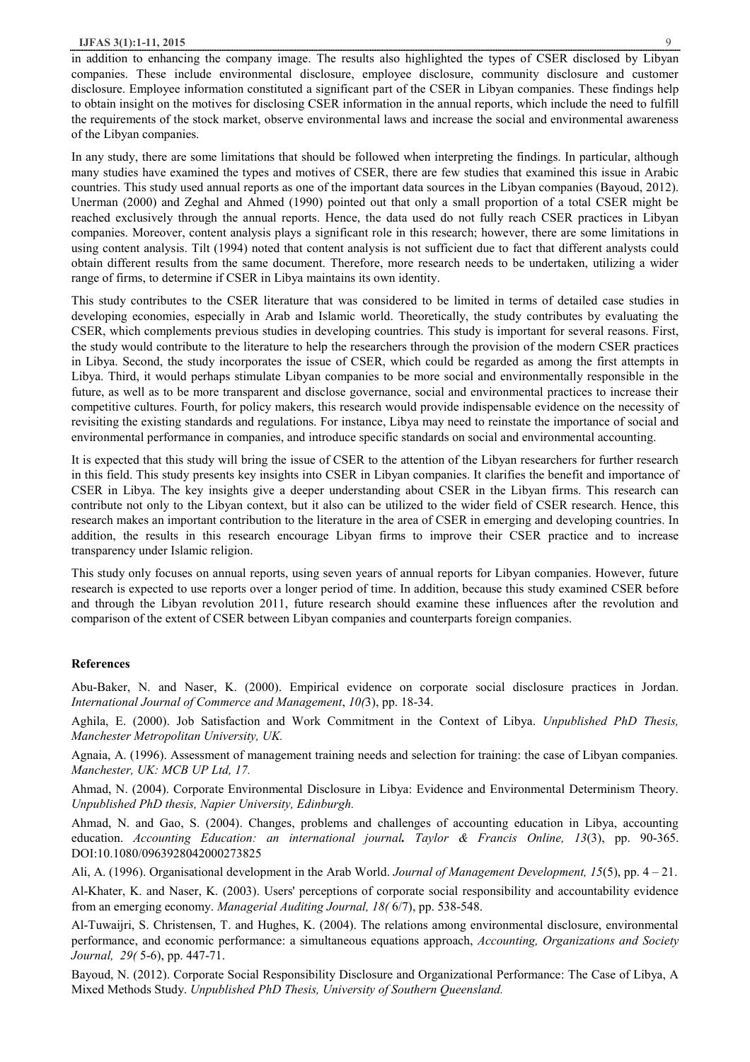### **IJFAS 3(1):1-11, 2015** 9

in addition to enhancing the company image. The results also highlighted the types of CSER disclosed by Libyan companies. These include environmental disclosure, employee disclosure, community disclosure and customer disclosure. Employee information constituted a significant part of the CSER in Libyan companies. These findings help to obtain insight on the motives for disclosing CSER information in the annual reports, which include the need to fulfill the requirements of the stock market, observe environmental laws and increase the social and environmental awareness of the Libyan companies.

In any study, there are some limitations that should be followed when interpreting the findings. In particular, although many studies have examined the types and motives of CSER, there are few studies that examined this issue in Arabic countries. This study used annual reports as one of the important data sources in the Libyan companies (Bayoud, 2012). Unerman (2000) and Zeghal and Ahmed (1990) pointed out that only a small proportion of a total CSER might be reached exclusively through the annual reports. Hence, the data used do not fully reach CSER practices in Libyan companies. Moreover, content analysis plays a significant role in this research; however, there are some limitations in using content analysis. Tilt (1994) noted that content analysis is not sufficient due to fact that different analysts could obtain different results from the same document. Therefore, more research needs to be undertaken, utilizing a wider range of firms, to determine if CSER in Libya maintains its own identity.

This study contributes to the CSER literature that was considered to be limited in terms of detailed case studies in developing economies, especially in Arab and Islamic world. Theoretically, the study contributes by evaluating the CSER, which complements previous studies in developing countries. This study is important for several reasons. First, the study would contribute to the literature to help the researchers through the provision of the modern CSER practices in Libya. Second, the study incorporates the issue of CSER, which could be regarded as among the first attempts in Libya. Third, it would perhaps stimulate Libyan companies to be more social and environmentally responsible in the future, as well as to be more transparent and disclose governance, social and environmental practices to increase their competitive cultures. Fourth, for policy makers, this research would provide indispensable evidence on the necessity of revisiting the existing standards and regulations. For instance, Libya may need to reinstate the importance of social and environmental performance in companies, and introduce specific standards on social and environmental accounting.

It is expected that this study will bring the issue of CSER to the attention of the Libyan researchers for further research in this field. This study presents key insights into CSER in Libyan companies. It clarifies the benefit and importance of CSER in Libya. The key insights give a deeper understanding about CSER in the Libyan firms. This research can contribute not only to the Libyan context, but it also can be utilized to the wider field of CSER research. Hence, this research makes an important contribution to the literature in the area of CSER in emerging and developing countries. In addition, the results in this research encourage Libyan firms to improve their CSER practice and to increase transparency under Islamic religion.

This study only focuses on annual reports, using seven years of annual reports for Libyan companies. However, future research is expected to use reports over a longer period of time. In addition, because this study examined CSER before and through the Libyan revolution 2011, future research should examine these influences after the revolution and comparison of the extent of CSER between Libyan companies and counterparts foreign companies.

#### **References**

Abu-Baker, N. and Naser, K. (2000). Empirical evidence on corporate social disclosure practices in Jordan. *International Journal of Commerce and Management*, *10(*3), pp. 18-34.

Aghila, E. (2000). Job Satisfaction and Work Commitment in the Context of Libya. *Unpublished PhD Thesis, Manchester Metropolitan University, UK.*

Agnaia, A. (1996). Assessment of management training needs and selection for training: the case of Libyan companies*. Manchester, UK: MCB UP Ltd, 17.*

Ahmad, N. (2004). Corporate Environmental Disclosure in Libya: Evidence and Environmental Determinism Theory. *Unpublished PhD thesis, Napier University, Edinburgh.*

Ahmad, N. and Gao, S. (2004). Changes, problems and challenges of accounting education in Libya, accounting education. *Accounting Education: an international journal. Taylor & Francis Online, 13*(3), pp. 90-365. DOI:10.1080/0963928042000273825

Ali, A. (1996). Organisational development in the Arab World. *Journal of Management Development, 15*(5), pp. 4 – 21.

Al-Khater, K. and Naser, K. (2003). Users' perceptions of corporate social responsibility and accountability evidence from an emerging economy. *Managerial Auditing Journal, 18(* 6/7), pp. 538-548.

Al-Tuwaijri, S. Christensen, T. and Hughes, K. (2004). The relations among environmental disclosure, environmental performance, and economic performance: a simultaneous equations approach, *Accounting, Organizations and Society Journal, 29(* 5-6), pp. 447-71.

Bayoud, N. (2012). Corporate Social Responsibility Disclosure and Organizational Performance: The Case of Libya, A Mixed Methods Study. *Unpublished PhD Thesis, University of Southern Queensland.*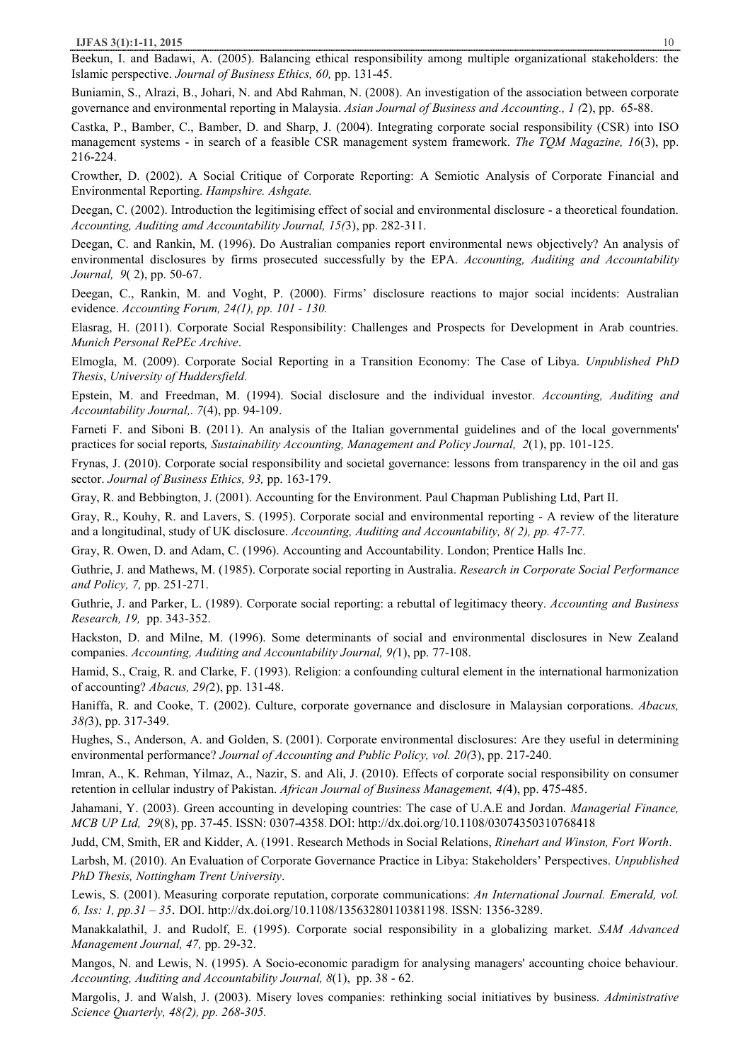Beekun, I. and Badawi, A. (2005). Balancing ethical responsibility among multiple organizational stakeholders: the Islamic perspective. *Journal of Business Ethics, 60,* pp. 131-45.

Buniamin, S., Alrazi, B., Johari, N. and Abd Rahman, N. (2008). An investigation of the association between corporate governance and environmental reporting in Malaysia. *Asian Journal of Business and Accounting., 1 (*2), pp. 65-88.

Castka, P., Bamber, C., Bamber, D. and Sharp, J. (2004). Integrating corporate social responsibility (CSR) into ISO management systems - in search of a feasible CSR management system framework. *The TQM Magazine, 16*(3), pp. 216-224.

Crowther, D. (2002). A Social Critique of Corporate Reporting: A Semiotic Analysis of Corporate Financial and Environmental Reporting. *Hampshire. Ashgate.*

Deegan, C. (2002). Introduction the legitimising effect of social and environmental disclosure - a theoretical foundation. *Accounting, Auditing amd Accountability Journal, 15(*3), pp. 282-311.

Deegan, C. and Rankin, M. (1996). Do Australian companies report environmental news objectively? An analysis of environmental disclosures by firms prosecuted successfully by the EPA. *Accounting, Auditing and Accountability Journal, 9*( 2), pp. 50-67.

Deegan, C., Rankin, M. and Voght, P. (2000). Firms' disclosure reactions to major social incidents: Australian evidence. *Accounting Forum, 24(1), pp. 101 - 130.* 

Elasrag, H. (2011). Corporate Social Responsibility: Challenges and Prospects for Development in Arab countries. *Munich Personal RePEc Archive*.

Elmogla, M. (2009). Corporate Social Reporting in a Transition Economy: The Case of Libya. *Unpublished PhD Thesis*, *University of Huddersfield.*

Epstein, M. and Freedman, M. (1994). Social disclosure and the individual investor*. Accounting, Auditing and Accountability Journal,. 7*(4), pp. 94-109.

Farneti F. and Siboni B. (2011). An analysis of the Italian governmental guidelines and of the local governments' practices for social reports*, Sustainability Accounting, Management and Policy Journal, 2*(1), pp. 101-125.

Frynas, J. (2010). Corporate social responsibility and societal governance: lessons from transparency in the oil and gas sector. *Journal of Business Ethics, 93,* pp. 163-179.

Gray, R. and Bebbington, J. (2001). Accounting for the Environment. Paul Chapman Publishing Ltd, Part II.

Gray, R., Kouhy, R. and Lavers, S. (1995). Corporate social and environmental reporting - A review of the literature and a longitudinal, study of UK disclosure. *Accounting, Auditing and Accountability, 8( 2), pp. 47-77.*

Gray, R. Owen, D. and Adam, C. (1996). Accounting and Accountability. London; Prentice Halls Inc.

Guthrie, J. and Mathews, M. (1985). Corporate social reporting in Australia. *Research in Corporate Social Performance and Policy, 7,* pp. 251-271.

Guthrie, J. and Parker, L. (1989). Corporate social reporting: a rebuttal of legitimacy theory. *Accounting and Business Research, 19,* pp. 343-352.

Hackston, D. and Milne, M. (1996). Some determinants of social and environmental disclosures in New Zealand companies. *Accounting, Auditing and Accountability Journal, 9(*1), pp. 77-108.

Hamid, S., Craig, R. and Clarke, F. (1993). Religion: a confounding cultural element in the international harmonization of accounting? *Abacus, 29(*2), pp. 131-48.

Haniffa, R. and Cooke, T. (2002). Culture, corporate governance and disclosure in Malaysian corporations. *Abacus, 38(*3), pp. 317-349.

Hughes, S., Anderson, A. and Golden, S. (2001). Corporate environmental disclosures: Are they useful in determining environmental performance? *Journal of Accounting and Public Policy, vol. 20(*3), pp. 217-240.

Imran, A., K. Rehman, Yilmaz, A., Nazir, S. and Ali, J. (2010). Effects of corporate social responsibility on consumer retention in cellular industry of Pakistan. *African Journal of Business Management, 4(*4), pp. 475-485.

Jahamani, Y. (2003). Green accounting in developing countries: The case of U.A.E and Jordan. *Managerial Finance, MCB UP Ltd, 29*(8), pp. 37-45. ISSN: 0307-4358. DOI: http://dx.doi.org/10.1108/03074350310768418

Judd, CM, Smith, ER and Kidder, A. (1991. Research Methods in Social Relations, *Rinehart and Winston, Fort Worth*.

Larbsh, M. (2010). An Evaluation of Corporate Governance Practice in Libya: Stakeholders' Perspectives. *Unpublished PhD Thesis, Nottingham Trent University*.

Lewis, S. (2001). Measuring corporate reputation, corporate communications: *An International Journal. Emerald, vol. 6, Iss: 1, pp.31 – 35*. DOI. http://dx.doi.org/10.1108/13563280110381198. ISSN: 1356-3289.

Manakkalathil, J. and Rudolf, E. (1995). Corporate social responsibility in a globalizing market. *SAM Advanced Management Journal, 47,* pp. 29-32.

Mangos, N. and Lewis, N. (1995). A Socio-economic paradigm for analysing managers' accounting choice behaviour. *Accounting, Auditing and Accountability Journal, 8*(1), pp. 38 - 62.

Margolis, J. and Walsh, J. (2003). Misery loves companies: rethinking social initiatives by business. *Administrative Science Quarterly, 48(2), pp. 268-305.*